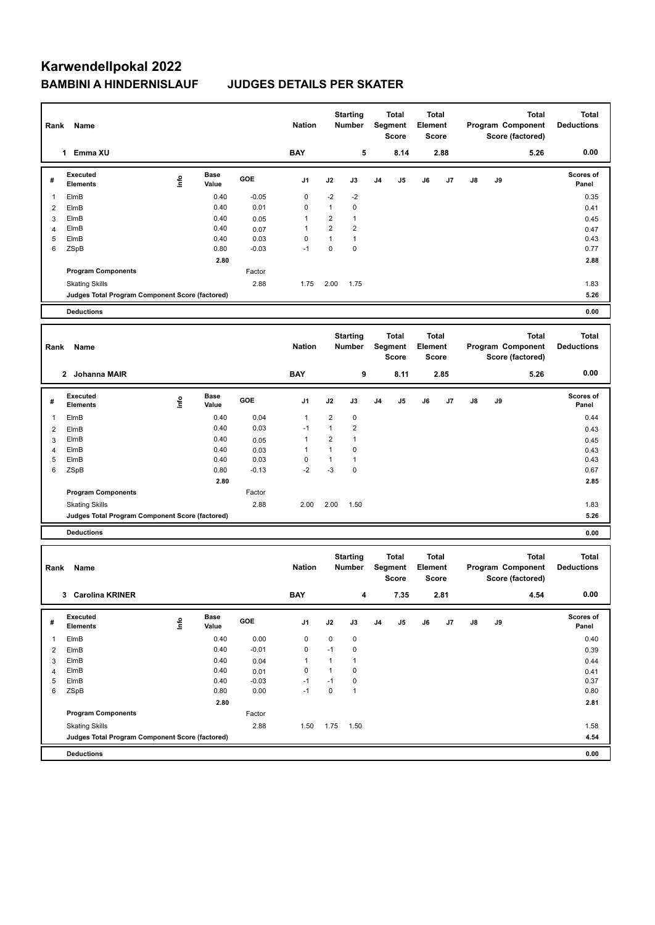# **Karwendellpokal 2022 BAMBINI A HINDERNISLAUF JUDGES DETAILS PER SKATER**

| Rank           | Name                                            |                                                           |                      |         | <b>Nation</b> |                         | <b>Starting</b><br>Number        |                | <b>Total</b><br>Segment<br>Score | Element      | Total<br>Score |              |    | <b>Total</b><br>Program Component<br>Score (factored) | <b>Total</b><br><b>Deductions</b> |
|----------------|-------------------------------------------------|-----------------------------------------------------------|----------------------|---------|---------------|-------------------------|----------------------------------|----------------|----------------------------------|--------------|----------------|--------------|----|-------------------------------------------------------|-----------------------------------|
|                | 1 Emma XU                                       |                                                           |                      |         | <b>BAY</b>    |                         | 5                                |                | 8.14                             |              | 2.88           |              |    | 5.26                                                  | 0.00                              |
| #              | <b>Executed</b><br><b>Elements</b>              | Info                                                      | <b>Base</b><br>Value | GOE     | J1            | J2                      | J3                               | J4             | J5                               | J6           | J7             | J8           | J9 |                                                       | Scores of<br>Panel                |
| -1             | ElmB                                            |                                                           | 0.40                 | $-0.05$ | 0             | $-2$                    | $-2$                             |                |                                  |              |                |              |    |                                                       | 0.35                              |
| $\overline{2}$ | ElmB                                            |                                                           | 0.40                 | 0.01    | 0             | $\mathbf{1}$            | 0                                |                |                                  |              |                |              |    |                                                       | 0.41                              |
| 3              | ElmB                                            |                                                           | 0.40                 | 0.05    | 1             | $\overline{\mathbf{c}}$ | $\mathbf{1}$                     |                |                                  |              |                |              |    |                                                       | 0.45                              |
| 4              | ElmB                                            |                                                           | 0.40                 | 0.07    | 1             | $\overline{2}$          | 2                                |                |                                  |              |                |              |    |                                                       | 0.47                              |
| 5              | ElmB                                            |                                                           | 0.40                 | 0.03    | 0             | $\mathbf{1}$            | $\mathbf{1}$                     |                |                                  |              |                |              |    |                                                       | 0.43                              |
| 6              | ZSpB                                            |                                                           | 0.80                 | $-0.03$ | $-1$          | $\pmb{0}$               | 0                                |                |                                  |              |                |              |    |                                                       | 0.77                              |
|                |                                                 |                                                           | 2.80                 |         |               |                         |                                  |                |                                  |              |                |              |    |                                                       | 2.88                              |
|                | <b>Program Components</b>                       |                                                           |                      | Factor  |               |                         |                                  |                |                                  |              |                |              |    |                                                       |                                   |
|                | <b>Skating Skills</b>                           |                                                           |                      | 2.88    | 1.75          | 2.00                    | 1.75                             |                |                                  |              |                |              |    |                                                       | 1.83                              |
|                | Judges Total Program Component Score (factored) |                                                           |                      |         |               |                         |                                  |                |                                  |              |                |              |    |                                                       | 5.26                              |
|                | <b>Deductions</b>                               |                                                           |                      |         |               |                         |                                  |                |                                  |              |                |              |    |                                                       | 0.00                              |
|                |                                                 |                                                           |                      |         |               |                         |                                  |                |                                  |              |                |              |    |                                                       |                                   |
|                |                                                 |                                                           |                      |         |               |                         | <b>Starting</b>                  |                | <b>Total</b>                     | <b>Total</b> |                | <b>Total</b> |    |                                                       | <b>Total</b>                      |
| Rank           | Name                                            |                                                           |                      |         | <b>Nation</b> |                         | Number                           |                | Segment                          | Element      |                |              |    | Program Component                                     | <b>Deductions</b>                 |
|                |                                                 |                                                           |                      |         |               |                         |                                  |                | Score                            |              | Score          |              |    | Score (factored)                                      |                                   |
|                | 2 Johanna MAIR                                  |                                                           |                      |         | <b>BAY</b>    |                         | 9                                |                | 8.11                             |              | 2.85           |              |    | 5.26                                                  | 0.00                              |
| #              | <b>Executed</b>                                 | Info                                                      | <b>Base</b>          | GOE     | J1            | J2                      | J3                               | J <sub>4</sub> | J5                               | J6           | J7             | J8           | J9 |                                                       | Scores of                         |
|                | <b>Elements</b>                                 |                                                           | Value                |         |               |                         |                                  |                |                                  |              |                |              |    |                                                       | Panel                             |
| -1             | ElmB                                            |                                                           | 0.40                 | 0.04    | $\mathbf{1}$  | $\overline{\mathbf{c}}$ | 0                                |                |                                  |              |                |              |    |                                                       | 0.44                              |
| $\overline{2}$ | ElmB                                            |                                                           | 0.40                 | 0.03    | $-1$          | $\mathbf{1}$            | $\overline{\mathbf{c}}$          |                |                                  |              |                |              |    |                                                       | 0.43                              |
| 3              | ElmB                                            |                                                           | 0.40                 | 0.05    | $\mathbf{1}$  | $\overline{\mathbf{c}}$ | 1                                |                |                                  |              |                |              |    |                                                       | 0.45                              |
| $\overline{4}$ | ElmB                                            |                                                           | 0.40                 | 0.03    | $\mathbf{1}$  | $\mathbf{1}$            | 0                                |                |                                  |              |                |              |    |                                                       | 0.43                              |
| 5              | ElmB                                            |                                                           | 0.40                 | 0.03    | 0             | $\mathbf{1}$            | 1                                |                |                                  |              |                |              |    |                                                       | 0.43                              |
| 6              | ZSpB                                            |                                                           | 0.80                 | $-0.13$ | $-2$          | $-3$                    | 0                                |                |                                  |              |                |              |    |                                                       | 0.67                              |
|                |                                                 |                                                           | 2.80                 |         |               |                         |                                  |                |                                  |              |                |              |    |                                                       | 2.85                              |
|                | <b>Program Components</b>                       |                                                           |                      | Factor  |               |                         |                                  |                |                                  |              |                |              |    |                                                       |                                   |
|                | <b>Skating Skills</b>                           |                                                           |                      | 2.88    | 2.00          | 2.00                    | 1.50                             |                |                                  |              |                |              |    |                                                       | 1.83                              |
|                | Judges Total Program Component Score (factored) |                                                           |                      |         |               |                         |                                  |                |                                  |              |                |              |    |                                                       | 5.26                              |
|                | <b>Deductions</b>                               |                                                           |                      |         |               |                         |                                  |                |                                  |              |                |              |    |                                                       | 0.00                              |
|                |                                                 |                                                           |                      |         |               |                         |                                  |                |                                  |              |                |              |    |                                                       |                                   |
|                |                                                 |                                                           |                      |         | <b>Nation</b> |                         | <b>Starting</b><br><b>Number</b> |                | <b>Total</b><br>Segment          | Element      | <b>Total</b>   |              |    | <b>Total</b><br>Program Component                     | <b>Total</b><br><b>Deductions</b> |
| Rank           | Name                                            |                                                           |                      |         |               |                         |                                  |                | Score                            |              | Score          |              |    | Score (factored)                                      |                                   |
|                |                                                 |                                                           |                      |         |               |                         |                                  |                |                                  |              |                |              |    |                                                       |                                   |
|                | 3 Carolina KRINER                               |                                                           |                      |         | <b>BAY</b>    |                         | 4                                |                | 7.35                             |              | 2.81           |              |    | 4.54                                                  | 0.00                              |
| #              | Executed<br>Elements                            | $\begin{array}{c} \hline \text{inf} \text{o} \end{array}$ | Base<br>Value        | GOE     | J1            | J2                      | J3                               | J4             | J5                               | J6           | J7             | J8           | J9 |                                                       | Scores of<br>Panel                |
| -1             | ElmB                                            |                                                           | 0.40                 | 0.00    | 0             | $\pmb{0}$               | $\pmb{0}$                        |                |                                  |              |                |              |    |                                                       | 0.40                              |
| $\overline{2}$ | ElmB                                            |                                                           | 0.40                 | $-0.01$ | 0             | $-1$                    | 0                                |                |                                  |              |                |              |    |                                                       | 0.39                              |
| 3              | ElmB                                            |                                                           | 0.40                 | 0.04    | 1             | $\mathbf{1}$            | $\mathbf{1}$                     |                |                                  |              |                |              |    |                                                       | 0.44                              |
| $\overline{4}$ | ElmB                                            |                                                           | 0.40                 | 0.01    | 0             | $\mathbf{1}$            | 0                                |                |                                  |              |                |              |    |                                                       | 0.41                              |
| 5              | ElmB                                            |                                                           | 0.40                 | $-0.03$ | $-1$          | $-1$                    | 0                                |                |                                  |              |                |              |    |                                                       | 0.37                              |
| 6              | ZSpB                                            |                                                           | 0.80                 | 0.00    | $-1$          | $\pmb{0}$               | $\mathbf{1}$                     |                |                                  |              |                |              |    |                                                       | 0.80                              |
|                |                                                 |                                                           | 2.80                 |         |               |                         |                                  |                |                                  |              |                |              |    |                                                       | 2.81                              |
|                | <b>Program Components</b>                       |                                                           |                      | Factor  |               |                         |                                  |                |                                  |              |                |              |    |                                                       |                                   |
|                | <b>Skating Skills</b>                           |                                                           |                      | 2.88    | 1.50          | 1.75                    | 1.50                             |                |                                  |              |                |              |    |                                                       | 1.58                              |
|                | Judges Total Program Component Score (factored) |                                                           |                      |         |               |                         |                                  |                |                                  |              |                |              |    |                                                       | 4.54                              |
|                |                                                 |                                                           |                      |         |               |                         |                                  |                |                                  |              |                |              |    |                                                       |                                   |
|                | <b>Deductions</b>                               |                                                           |                      |         |               |                         |                                  |                |                                  |              |                |              |    |                                                       | 0.00                              |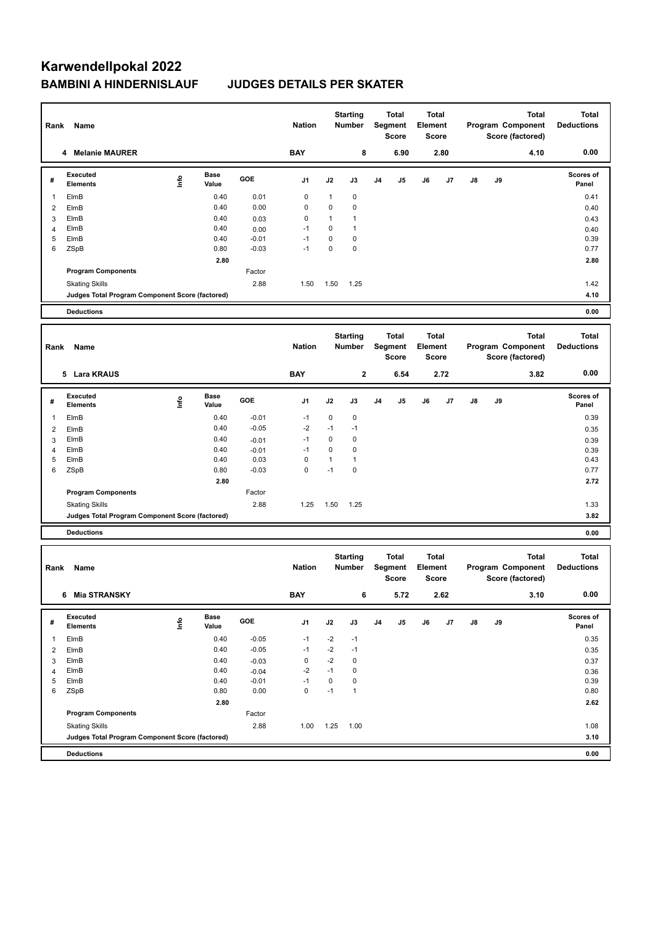# **Karwendellpokal 2022 BAMBINI A HINDERNISLAUF JUDGES DETAILS PER SKATER**

| Rank Name                  |                                                 |                                  |               | <b>Nation</b> |               | <b>Starting</b><br>Number |                           | <b>Total</b><br>Segment<br>Score |                                                | <b>Total</b><br>Element<br><b>Score</b> |                              | Program Component<br>Score (factored) | <b>Total</b><br><b>Deductions</b> |                                                       |                                   |
|----------------------------|-------------------------------------------------|----------------------------------|---------------|---------------|---------------|---------------------------|---------------------------|----------------------------------|------------------------------------------------|-----------------------------------------|------------------------------|---------------------------------------|-----------------------------------|-------------------------------------------------------|-----------------------------------|
| <b>Melanie MAURER</b><br>4 |                                                 |                                  |               | <b>BAY</b>    |               | 8                         |                           | 6.90                             |                                                | 2.80                                    |                              |                                       | 4.10                              | 0.00                                                  |                                   |
| #                          | <b>Executed</b><br><b>Elements</b>              | lnfo                             | Base<br>Value | GOE           | J1            | J2                        | J3                        | J4                               | J5                                             | J6                                      | J7                           | J8                                    | J9                                |                                                       | <b>Scores of</b><br>Panel         |
| 1                          | ElmB                                            |                                  | 0.40          | 0.01          | 0             | 1                         | 0                         |                                  |                                                |                                         |                              |                                       |                                   |                                                       | 0.41                              |
| 2                          | ElmB                                            |                                  | 0.40          | 0.00          | 0             | 0                         | 0                         |                                  |                                                |                                         |                              |                                       |                                   |                                                       | 0.40                              |
| 3                          | ElmB                                            |                                  | 0.40          | 0.03          | $\pmb{0}$     | 1                         | 1                         |                                  |                                                |                                         |                              |                                       |                                   |                                                       | 0.43                              |
| 4                          | ElmB                                            |                                  | 0.40          | 0.00          | $-1$          | 0                         | 1                         |                                  |                                                |                                         |                              |                                       |                                   |                                                       | 0.40                              |
| 5                          | ElmB                                            |                                  | 0.40          | $-0.01$       | $-1$          | $\pmb{0}$                 | 0                         |                                  |                                                |                                         |                              |                                       |                                   |                                                       | 0.39                              |
| 6                          | ZSpB                                            |                                  | 0.80          | $-0.03$       | $-1$          | $\pmb{0}$                 | 0                         |                                  |                                                |                                         |                              |                                       |                                   |                                                       | 0.77                              |
|                            |                                                 |                                  | 2.80          |               |               |                           |                           |                                  |                                                |                                         |                              |                                       |                                   |                                                       | 2.80                              |
|                            | <b>Program Components</b>                       |                                  |               | Factor        |               |                           |                           |                                  |                                                |                                         |                              |                                       |                                   |                                                       |                                   |
|                            | <b>Skating Skills</b>                           |                                  |               | 2.88          | 1.50          | 1.50                      | 1.25                      |                                  |                                                |                                         |                              |                                       |                                   |                                                       | 1.42                              |
|                            | Judges Total Program Component Score (factored) |                                  |               |               |               |                           |                           |                                  |                                                |                                         |                              |                                       |                                   |                                                       | 4.10                              |
|                            | <b>Deductions</b>                               |                                  |               |               |               |                           |                           |                                  |                                                |                                         |                              |                                       |                                   |                                                       | 0.00                              |
|                            |                                                 |                                  |               |               |               |                           | <b>Starting</b>           |                                  | Total                                          | <b>Total</b>                            |                              | Total                                 |                                   |                                                       | <b>Total</b>                      |
| Rank                       | Name                                            |                                  |               |               | <b>Nation</b> | Number                    |                           | Segment                          |                                                | Element                                 |                              | Program Component                     |                                   |                                                       | <b>Deductions</b>                 |
|                            |                                                 |                                  |               |               |               |                           |                           |                                  | <b>Score</b>                                   |                                         | <b>Score</b>                 |                                       |                                   | Score (factored)                                      |                                   |
|                            |                                                 |                                  |               |               |               |                           |                           |                                  |                                                |                                         |                              |                                       |                                   |                                                       |                                   |
|                            | 5 Lara KRAUS                                    |                                  |               |               | <b>BAY</b>    |                           | $\bf 2$                   |                                  | 6.54                                           |                                         | 2.72                         |                                       |                                   | 3.82                                                  | 0.00                              |
| #                          | <b>Executed</b><br><b>Elements</b>              | $\mathop{\mathsf{Irr}}\nolimits$ | Base<br>Value | GOE           | J1            | J2                        | J3                        | J4                               | J5                                             | J6                                      | J7                           | J8                                    | J9                                |                                                       | <b>Scores of</b><br>Panel         |
| 1                          | ElmB                                            |                                  | 0.40          | $-0.01$       | $-1$          | $\mathbf 0$               | 0                         |                                  |                                                |                                         |                              |                                       |                                   |                                                       | 0.39                              |
| 2                          | ElmB                                            |                                  | 0.40          | $-0.05$       | $-2$          | $-1$                      | $-1$                      |                                  |                                                |                                         |                              |                                       |                                   |                                                       | 0.35                              |
| 3                          | ElmB                                            |                                  | 0.40          | $-0.01$       | $-1$          | $\pmb{0}$                 | 0                         |                                  |                                                |                                         |                              |                                       |                                   |                                                       | 0.39                              |
| 4                          | ElmB                                            |                                  | 0.40          | $-0.01$       | $-1$          | $\pmb{0}$                 | 0                         |                                  |                                                |                                         |                              |                                       |                                   |                                                       | 0.39                              |
| 5                          | ElmB                                            |                                  | 0.40          | 0.03          | 0             | $\mathbf{1}$              | $\mathbf{1}$              |                                  |                                                |                                         |                              |                                       |                                   |                                                       | 0.43                              |
| 6                          | ZSpB                                            |                                  | 0.80          | $-0.03$       | $\mathbf 0$   | $-1$                      | 0                         |                                  |                                                |                                         |                              |                                       |                                   |                                                       | 0.77                              |
|                            |                                                 |                                  | 2.80          |               |               |                           |                           |                                  |                                                |                                         |                              |                                       |                                   |                                                       | 2.72                              |
|                            | <b>Program Components</b>                       |                                  |               | Factor        |               |                           |                           |                                  |                                                |                                         |                              |                                       |                                   |                                                       |                                   |
|                            | <b>Skating Skills</b>                           |                                  |               | 2.88          | 1.25          | 1.50                      | 1.25                      |                                  |                                                |                                         |                              |                                       |                                   |                                                       | 1.33                              |
|                            | Judges Total Program Component Score (factored) |                                  |               |               |               |                           |                           |                                  |                                                |                                         |                              |                                       |                                   |                                                       | 3.82                              |
|                            | <b>Deductions</b>                               |                                  |               |               |               |                           |                           |                                  |                                                |                                         |                              |                                       |                                   |                                                       | 0.00                              |
|                            |                                                 |                                  |               |               |               |                           |                           |                                  |                                                |                                         |                              |                                       |                                   |                                                       |                                   |
| Rank                       | Name                                            |                                  |               |               | <b>Nation</b> |                           | <b>Starting</b><br>Number |                                  | <b>Total</b><br><b>Segment</b><br><b>Score</b> | Element                                 | <b>Total</b><br><b>Score</b> |                                       |                                   | <b>Total</b><br>Program Component<br>Score (factored) | <b>Total</b><br><b>Deductions</b> |
|                            | 6 Mia STRANSKY                                  |                                  |               |               | BAY           |                           | 6                         |                                  | 5.72                                           |                                         | 2.62                         |                                       |                                   | 3.10                                                  | 0.00                              |
| #                          | Executed<br><b>Elements</b>                     | $\mathop{\mathsf{Irr}}\nolimits$ | Base<br>Value | GOE           | J1            | J2                        | J3                        | J4                               | J5                                             | J6                                      | J7                           | J8                                    | J9                                |                                                       | Scores of<br>Panel                |
| 1                          | ElmB                                            |                                  | 0.40          | $-0.05$       | $-1$          | $-2$                      | $-1$                      |                                  |                                                |                                         |                              |                                       |                                   |                                                       | 0.35                              |
| $\overline{2}$             | ElmB                                            |                                  | 0.40          | $-0.05$       | $-1$          | $-2$                      | $-1$                      |                                  |                                                |                                         |                              |                                       |                                   |                                                       | 0.35                              |
| 3                          | ElmB                                            |                                  | 0.40          | $-0.03$       | $\mathbf 0$   | $-2$                      | $\mathbf 0$               |                                  |                                                |                                         |                              |                                       |                                   |                                                       | 0.37                              |
| 4                          | ElmB                                            |                                  | 0.40          | $-0.04$       | $-2$          | $-1$                      | $\mathbf 0$               |                                  |                                                |                                         |                              |                                       |                                   |                                                       | 0.36                              |
| 5                          | ElmB                                            |                                  | 0.40          | $-0.01$       | $-1$          | $\pmb{0}$                 | 0                         |                                  |                                                |                                         |                              |                                       |                                   |                                                       | 0.39                              |
| 6                          | ZSpB                                            |                                  | 0.80          | 0.00          | $\mathbf 0$   | $-1$                      | $\mathbf{1}$              |                                  |                                                |                                         |                              |                                       |                                   |                                                       | 0.80                              |
|                            |                                                 |                                  | 2.80          |               |               |                           |                           |                                  |                                                |                                         |                              |                                       |                                   |                                                       | 2.62                              |
|                            | <b>Program Components</b>                       |                                  |               | Factor        |               |                           |                           |                                  |                                                |                                         |                              |                                       |                                   |                                                       |                                   |
|                            | <b>Skating Skills</b>                           |                                  |               | 2.88          | 1.00          | 1.25                      | 1.00                      |                                  |                                                |                                         |                              |                                       |                                   |                                                       | 1.08                              |
|                            | Judges Total Program Component Score (factored) |                                  |               |               |               |                           |                           |                                  |                                                |                                         |                              |                                       |                                   |                                                       | 3.10                              |
|                            |                                                 |                                  |               |               |               |                           |                           |                                  |                                                |                                         |                              |                                       |                                   |                                                       |                                   |
|                            | <b>Deductions</b>                               |                                  |               |               |               |                           |                           |                                  |                                                |                                         |                              |                                       |                                   |                                                       | 0.00                              |